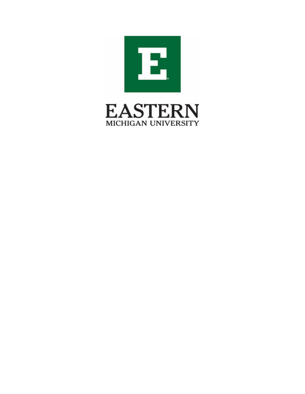

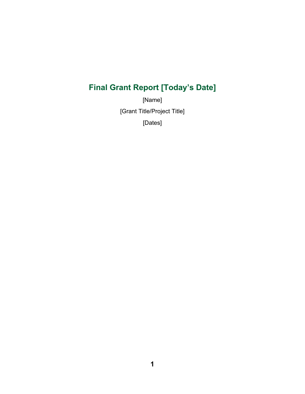# **Final Grant Report [Today's Date]**

[Name] [Grant Title/Project Title] [Dates]